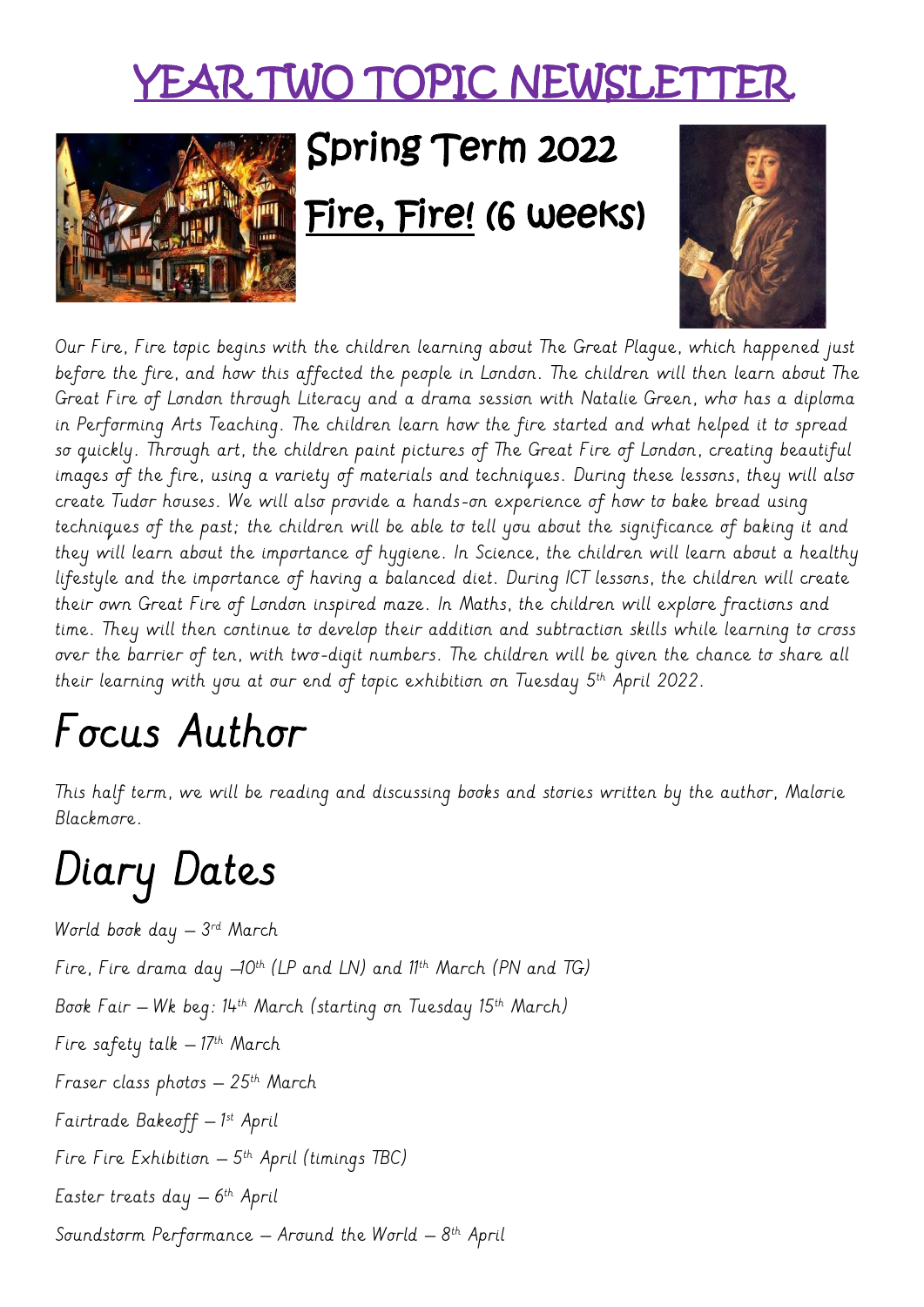### YEAR TWO TOPIC NEWSLETT



# Spring Term 2022

#### Fire, Fire! (6 weeks)



Our Fire, Fire topic begins with the children learning about The Great Plague, which happened just before the fire, and how this affected the people in London. The children will then learn about The Great Fire of London through Literacy and a drama session with Natalie Green, who has a diploma in Performing Arts Teaching. The children learn how the fire started and what helped it to spread so quickly. Through art, the children paint pictures of The Great Fire of London, creating beautiful images of the fire, using a variety of materials and techniques. During these lessons, they will also create Tudor houses. We will also provide a hands-on experience of how to bake bread using techniques of the past; the children will be able to tell you about the significance of baking it and they will learn about the importance of hygiene. In Science, the children will learn about a healthy lifestyle and the importance of having a balanced diet. During ICT lessons, the children will create their own Great Fire of London inspired maze. In Maths, the children will explore fractions and time. They will then continue to develop their addition and subtraction skills while learning to cross over the barrier of ten, with two-digit numbers. The children will be given the chance to share all their learning with you at our end of topic exhibition on Tuesday 5th April 2022.  $\,$ 

# Focus Author

This half term, we will be reading and discussing books and stories written by the author, Malorie Blackmore.

# Diary Dates

World book day – 3 rd March Fire, Fire drama day  $-10^{th}$  (LP and LN) and  $11^{th}$  March (PN and TG) Book Fair – Wk beg:  $14^{th}$  March (starting on Tuesday 15<sup>th</sup> March) Fire safety talk  $-17$ <sup>th</sup> March Fraser class photos  $-25$ <sup>th</sup> March Fairtrade Bakeoff – 1 st April Fire Fire Exhibition – 5 th April (timings TBC) Easter treats day – 6 th April Soundstorm Performance — Around the World — 8<sup>th</sup> April